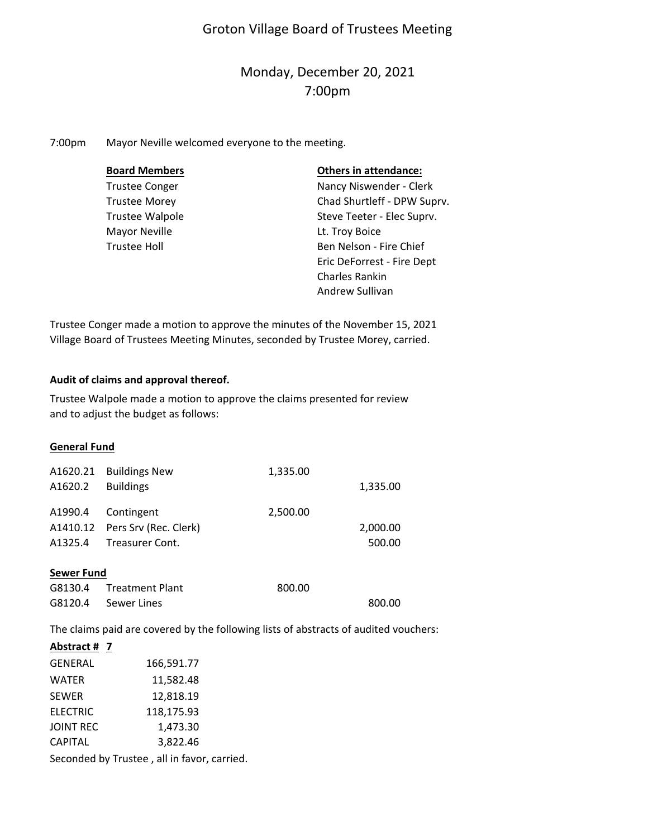# Groton Village Board of Trustees Meeting

# Monday, December 20, 2021 7:00pm

7:00pm Mayor Neville welcomed everyone to the meeting.

| <b>Board Members</b>   | <b>Others in attendance:</b> |
|------------------------|------------------------------|
| <b>Trustee Conger</b>  | Nancy Niswender - Clerk      |
| <b>Trustee Morey</b>   | Chad Shurtleff - DPW Suprv.  |
| <b>Trustee Walpole</b> | Steve Teeter - Elec Suprv.   |
| <b>Mayor Neville</b>   | Lt. Troy Boice               |
| <b>Trustee Holl</b>    | Ben Nelson - Fire Chief      |
|                        | Eric DeForrest - Fire Dept   |
|                        | <b>Charles Rankin</b>        |
|                        | Andrew Sullivan              |

Trustee Conger made a motion to approve the minutes of the November 15, 2021 Village Board of Trustees Meeting Minutes, seconded by Trustee Morey, carried.

# **Audit of claims and approval thereof.**

Trustee Walpole made a motion to approve the claims presented for review and to adjust the budget as follows:

#### **General Fund**

| A1620.21 | <b>Buildings New</b>           | 1,335.00 |          |
|----------|--------------------------------|----------|----------|
| A1620.2  | <b>Buildings</b>               |          | 1,335.00 |
|          |                                |          |          |
| A1990.4  | Contingent                     | 2,500.00 |          |
|          | A1410.12 Pers Srv (Rec. Clerk) |          | 2,000.00 |
| A1325.4  | Treasurer Cont.                |          | 500.00   |
|          |                                |          |          |

#### **Sewer Fund**

| G8130.4 Treatment Plant | 800.00 |        |
|-------------------------|--------|--------|
| G8120.4 Sewer Lines     |        | 800.00 |

The claims paid are covered by the following lists of abstracts of audited vouchers:

# **Abstract # 7**

| GENERAL          | 166,591.77 |
|------------------|------------|
| <b>WATER</b>     | 11,582.48  |
| <b>SEWER</b>     | 12,818.19  |
| <b>ELECTRIC</b>  | 118,175.93 |
| <b>JOINT REC</b> | 1,473.30   |
| <b>CAPITAL</b>   | 3,822.46   |
|                  |            |

Seconded by Trustee , all in favor, carried.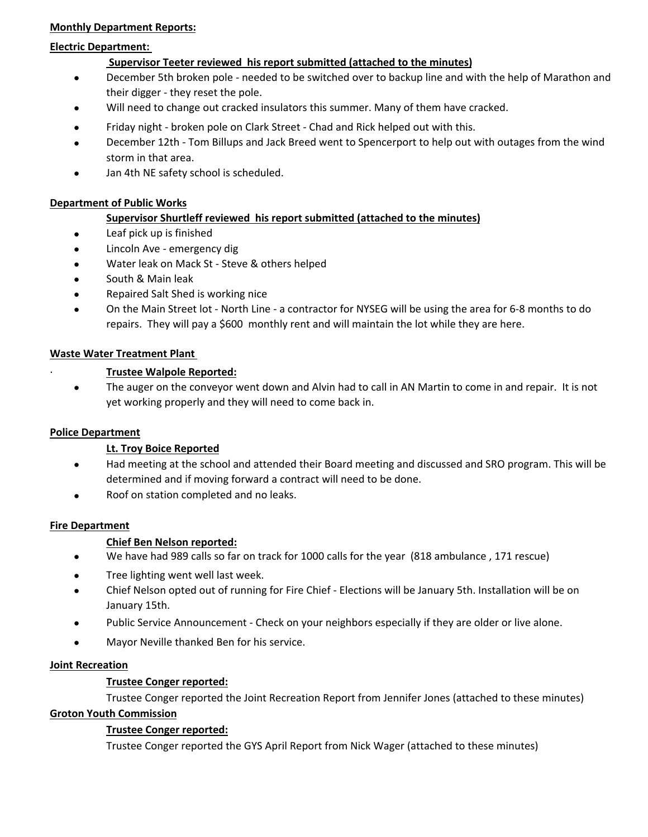# **Monthly Department Reports:**

## **Electric Department:**

# **Supervisor Teeter reviewed his report submitted (attached to the minutes)**

- $\bullet$ December 5th broken pole ‐ needed to be switched over to backup line and with the help of Marathon and their digger ‐ they reset the pole.
- $\bullet$ Will need to change out cracked insulators this summer. Many of them have cracked.
- $\bullet$ Friday night ‐ broken pole on Clark Street ‐ Chad and Rick helped out with this.
- $\bullet$ December 12th ‐ Tom Billups and Jack Breed went to Spencerport to help out with outages from the wind storm in that area.
- $\bullet$ Jan 4th NE safety school is scheduled.

# **Department of Public Works**

# **Supervisor Shurtleff reviewed his report submitted (attached to the minutes)**

- $\bullet$ Leaf pick up is finished
- $\bullet$ Lincoln Ave ‐ emergency dig
- $\bullet$ Water leak on Mack St ‐ Steve & others helped
- $\bullet$ South & Main leak
- $\bullet$ Repaired Salt Shed is working nice
- $\bullet$ On the Main Street lot ‐ North Line ‐ a contractor for NYSEG will be using the area for 6‐8 months to do repairs. They will pay a \$600 monthly rent and will maintain the lot while they are here.

# **Waste Water Treatment Plant**

# ∙ **Trustee Walpole Reported:**

 $\bullet$ The auger on the conveyor went down and Alvin had to call in AN Martin to come in and repair. It is not yet working properly and they will need to come back in.

# **Police Department**

# **Lt. Troy Boice Reported**

- $\bullet$ Had meeting at the school and attended their Board meeting and discussed and SRO program. This will be determined and if moving forward a contract will need to be done.
- $\bullet$ Roof on station completed and no leaks.

#### **Fire Department**

# **Chief Ben Nelson reported:**

- $\bullet$ We have had 989 calls so far on track for 1000 calls for the year (818 ambulance , 171 rescue)
- $\bullet$ Tree lighting went well last week.
- $\bullet$ Chief Nelson opted out of running for Fire Chief ‐ Elections will be January 5th. Installation will be on January 15th.
- $\bullet$ Public Service Announcement ‐ Check on your neighbors especially if they are older or live alone.
- $\bullet$ Mayor Neville thanked Ben for his service.

#### **Joint Recreation**

#### **Trustee Conger reported:**

Trustee Conger reported the Joint Recreation Report from Jennifer Jones (attached to these minutes)

# **Groton Youth Commission**

# **Trustee Conger reported:**

Trustee Conger reported the GYS April Report from Nick Wager (attached to these minutes)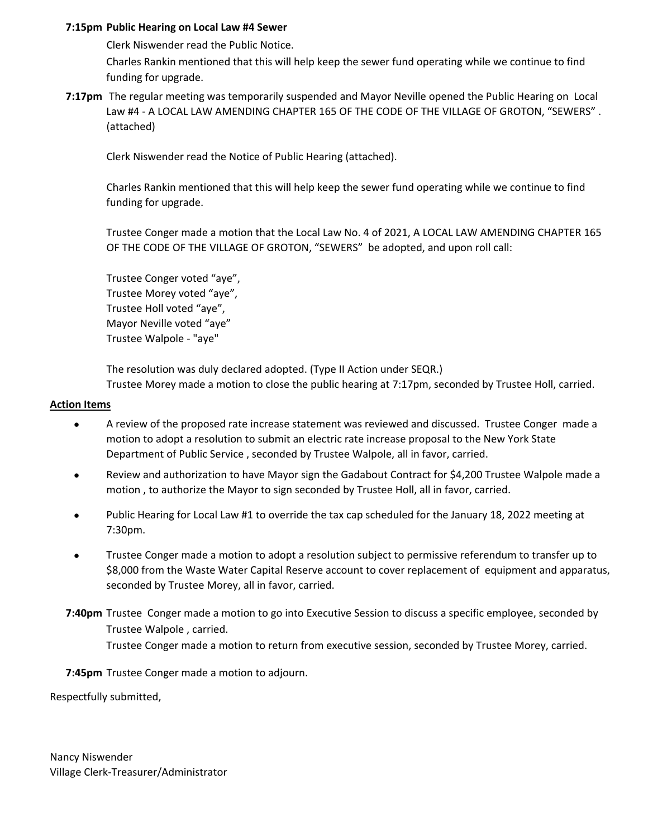# **7:15pm Public Hearing on Local Law #4 Sewer**

Clerk Niswender read the Public Notice.

Charles Rankin mentioned that this will help keep the sewer fund operating while we continue to find funding for upgrade.

**7:17pm** The regular meeting was temporarily suspended and Mayor Neville opened the Public Hearing on Local Law #4 - A LOCAL LAW AMENDING CHAPTER 165 OF THE CODE OF THE VILLAGE OF GROTON, "SEWERS". (attached)

Clerk Niswender read the Notice of Public Hearing (attached).

Charles Rankin mentioned that this will help keep the sewer fund operating while we continue to find funding for upgrade.

Trustee Conger made a motion that the Local Law No. 4 of 2021, A LOCAL LAW AMENDING CHAPTER 165 OF THE CODE OF THE VILLAGE OF GROTON, "SEWERS" be adopted, and upon roll call:

Trustee Conger voted "aye", Trustee Morey voted "aye", Trustee Holl voted "aye", Mayor Neville voted "aye" Trustee Walpole ‐ "aye"

The resolution was duly declared adopted. (Type II Action under SEQR.) Trustee Morey made a motion to close the public hearing at 7:17pm, seconded by Trustee Holl, carried.

#### **Action Items**

- $\bullet$ A review of the proposed rate increase statement was reviewed and discussed. Trustee Conger made a motion to adopt a resolution to submit an electric rate increase proposal to the New York State Department of Public Service , seconded by Trustee Walpole, all in favor, carried.
- $\bullet$ Review and authorization to have Mayor sign the Gadabout Contract for \$4,200 Trustee Walpole made a motion , to authorize the Mayor to sign seconded by Trustee Holl, all in favor, carried.
- $\bullet$ Public Hearing for Local Law #1 to override the tax cap scheduled for the January 18, 2022 meeting at 7:30pm.
- $\bullet$ Trustee Conger made a motion to adopt a resolution subject to permissive referendum to transfer up to \$8,000 from the Waste Water Capital Reserve account to cover replacement of equipment and apparatus, seconded by Trustee Morey, all in favor, carried.
- **7:40pm** Trustee Conger made a motion to go into Executive Session to discuss a specific employee, seconded by Trustee Walpole , carried. Trustee Conger made a motion to return from executive session, seconded by Trustee Morey, carried.

**7:45pm** Trustee Conger made a motion to adjourn.

Respectfully submitted,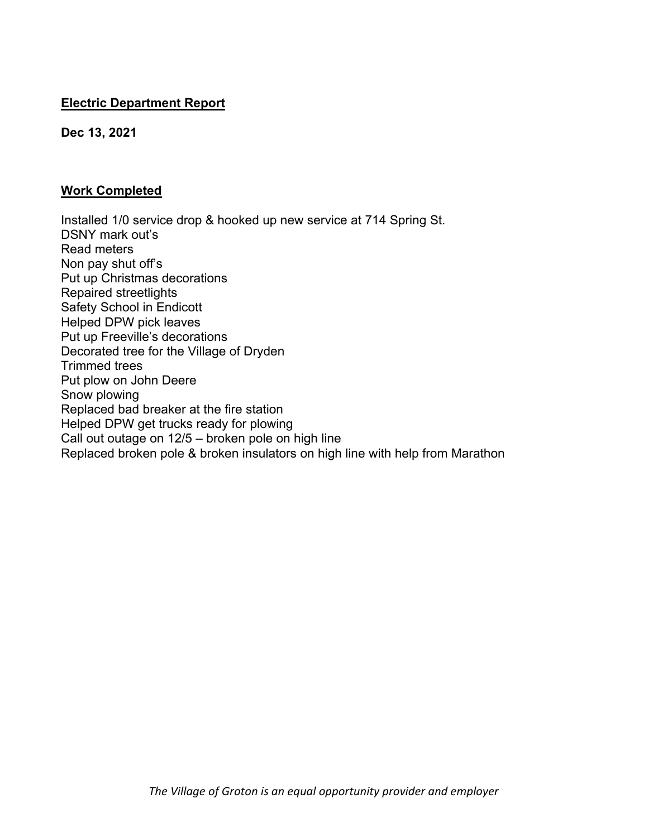# **Electric Department Report**

**Dec 13, 2021** 

# **Work Completed**

Installed 1/0 service drop & hooked up new service at 714 Spring St. DSNY mark out's Read meters Non pay shut off's Put up Christmas decorations Repaired streetlights Safety School in Endicott Helped DPW pick leaves Put up Freeville's decorations Decorated tree for the Village of Dryden Trimmed trees Put plow on John Deere Snow plowing Replaced bad breaker at the fire station Helped DPW get trucks ready for plowing Call out outage on 12/5 – broken pole on high line Replaced broken pole & broken insulators on high line with help from Marathon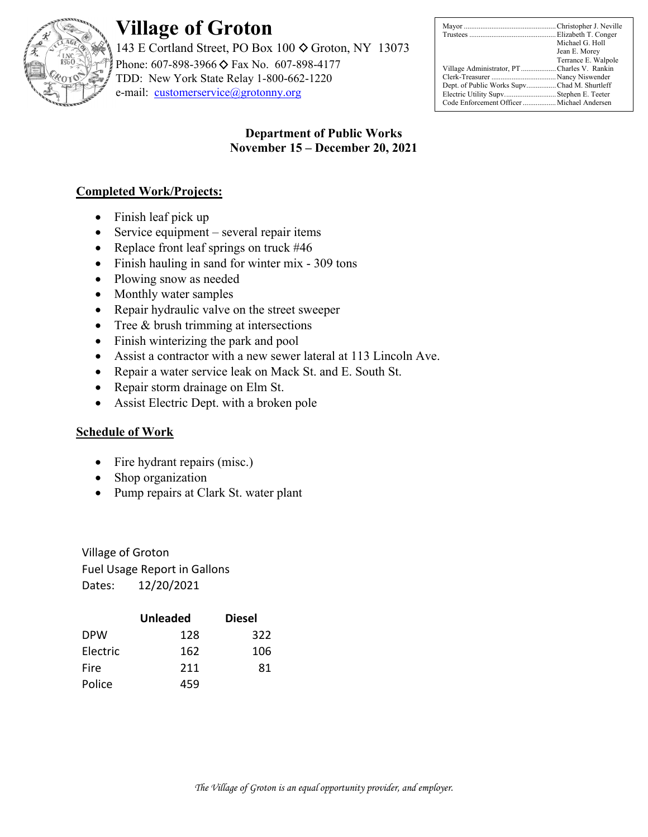

# **Village of Groton**

143 E Cortland Street, PO Box 100  $\diamond$  Groton, NY 13073 Phone: 607-898-3966 ♦ Fax No. 607-898-4177 TDD: New York State Relay 1-800-662-1220 e-mail: customerservice@grotonny.org

|                                             | Michael G. Holl     |
|---------------------------------------------|---------------------|
|                                             | Jean E. Morey       |
|                                             | Terrance E. Walpole |
| Village Administrator, PTCharles V. Rankin  |                     |
|                                             |                     |
| Dept. of Public Works SupvChad M. Shurtleff |                     |
| Electric Utility Supv Stephen E. Teeter     |                     |
| Code Enforcement Officer  Michael Andersen  |                     |

# **Department of Public Works November 15 – December 20, 2021**

# **Completed Work/Projects:**

- Finish leaf pick up
- $\bullet$  Service equipment several repair items
- Replace front leaf springs on truck  $#46$
- Finish hauling in sand for winter mix 309 tons
- Plowing snow as needed
- Monthly water samples
- Repair hydraulic valve on the street sweeper
- $\bullet$  Tree & brush trimming at intersections
- Finish winterizing the park and pool
- Assist a contractor with a new sewer lateral at 113 Lincoln Ave.
- Repair a water service leak on Mack St. and E. South St.
- Repair storm drainage on Elm St.
- Assist Electric Dept. with a broken pole

# **Schedule of Work**

- Fire hydrant repairs (misc.)
- Shop organization
- Pump repairs at Clark St. water plant

Village of Groton Fuel Usage Report in Gallons Dates: 12/20/2021

|            | <b>Unleaded</b> | <b>Diesel</b> |
|------------|-----------------|---------------|
| <b>DPW</b> | 128             | 322           |
| Electric   | 162             | 106           |
| Fire       | 211             | 81            |
| Police     | 459             |               |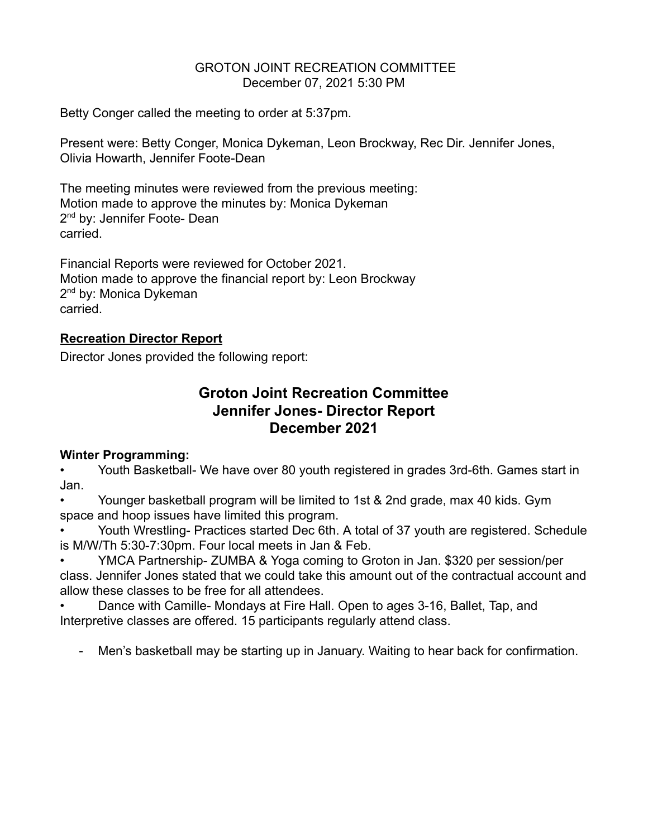# GROTON JOINT RECREATION COMMITTEE December 07, 2021 5:30 PM

Betty Conger called the meeting to order at 5:37pm.

Present were: Betty Conger, Monica Dykeman, Leon Brockway, Rec Dir. Jennifer Jones, Olivia Howarth, Jennifer Foote-Dean

The meeting minutes were reviewed from the previous meeting: Motion made to approve the minutes by: Monica Dykeman 2<sup>nd</sup> by: Jennifer Foote- Dean carried.

Financial Reports were reviewed for October 2021. Motion made to approve the financial report by: Leon Brockway 2<sup>nd</sup> by: Monica Dykeman carried.

# **Recreation Director Report**

Director Jones provided the following report:

# **Groton Joint Recreation Committee Jennifer Jones- Director Report December 2021**

# **Winter Programming:**

• Youth Basketball- We have over 80 youth registered in grades 3rd-6th. Games start in Jan.

• Younger basketball program will be limited to 1st & 2nd grade, max 40 kids. Gym space and hoop issues have limited this program.

• Youth Wrestling- Practices started Dec 6th. A total of 37 youth are registered. Schedule is M/W/Th 5:30-7:30pm. Four local meets in Jan & Feb.

• YMCA Partnership- ZUMBA & Yoga coming to Groton in Jan. \$320 per session/per class. Jennifer Jones stated that we could take this amount out of the contractual account and allow these classes to be free for all attendees.

• Dance with Camille- Mondays at Fire Hall. Open to ages 3-16, Ballet, Tap, and Interpretive classes are offered. 15 participants regularly attend class.

- Men's basketball may be starting up in January. Waiting to hear back for confirmation.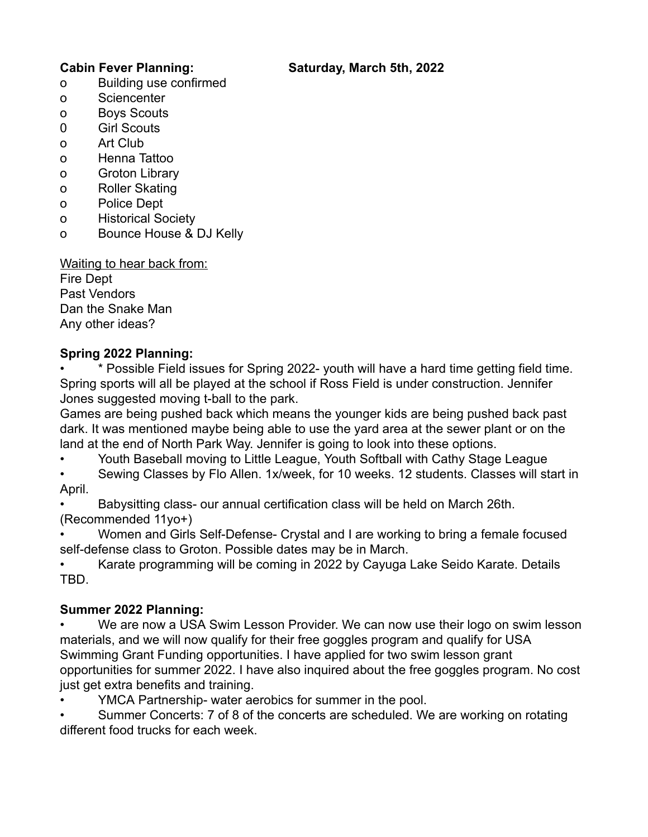# **Cabin Fever Planning: Saturday, March 5th, 2022**

- o Building use confirmed
- o Sciencenter
- o Boys Scouts
- 0 Girl Scouts
- o Art Club
- o Henna Tattoo
- o Groton Library
- o Roller Skating
- o Police Dept
- o Historical Society
- o Bounce House & DJ Kelly

Waiting to hear back from: Fire Dept Past Vendors Dan the Snake Man Any other ideas?

# **Spring 2022 Planning:**

• \* Possible Field issues for Spring 2022- youth will have a hard time getting field time. Spring sports will all be played at the school if Ross Field is under construction. Jennifer Jones suggested moving t-ball to the park.

Games are being pushed back which means the younger kids are being pushed back past dark. It was mentioned maybe being able to use the yard area at the sewer plant or on the land at the end of North Park Way. Jennifer is going to look into these options.

• Youth Baseball moving to Little League, Youth Softball with Cathy Stage League

• Sewing Classes by Flo Allen. 1x/week, for 10 weeks. 12 students. Classes will start in April.

• Babysitting class- our annual certification class will be held on March 26th. (Recommended 11yo+)

• Women and Girls Self-Defense- Crystal and I are working to bring a female focused self-defense class to Groton. Possible dates may be in March.

• Karate programming will be coming in 2022 by Cayuga Lake Seido Karate. Details TBD.

# **Summer 2022 Planning:**

We are now a USA Swim Lesson Provider. We can now use their logo on swim lesson materials, and we will now qualify for their free goggles program and qualify for USA Swimming Grant Funding opportunities. I have applied for two swim lesson grant opportunities for summer 2022. I have also inquired about the free goggles program. No cost just get extra benefits and training.

YMCA Partnership- water aerobics for summer in the pool.

• Summer Concerts: 7 of 8 of the concerts are scheduled. We are working on rotating different food trucks for each week.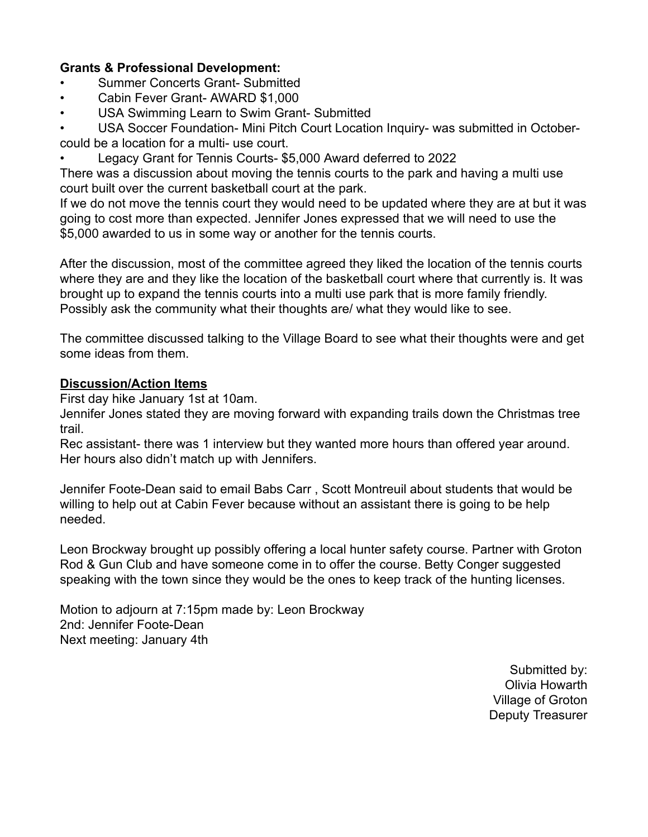# **Grants & Professional Development:**

- Summer Concerts Grant- Submitted
- Cabin Fever Grant- AWARD \$1,000
- USA Swimming Learn to Swim Grant- Submitted

USA Soccer Foundation- Mini Pitch Court Location Inquiry- was submitted in Octobercould be a location for a multi- use court.

• Legacy Grant for Tennis Courts- \$5,000 Award deferred to 2022

There was a discussion about moving the tennis courts to the park and having a multi use court built over the current basketball court at the park.

If we do not move the tennis court they would need to be updated where they are at but it was going to cost more than expected. Jennifer Jones expressed that we will need to use the \$5,000 awarded to us in some way or another for the tennis courts.

After the discussion, most of the committee agreed they liked the location of the tennis courts where they are and they like the location of the basketball court where that currently is. It was brought up to expand the tennis courts into a multi use park that is more family friendly. Possibly ask the community what their thoughts are/ what they would like to see.

The committee discussed talking to the Village Board to see what their thoughts were and get some ideas from them.

# **Discussion/Action Items**

First day hike January 1st at 10am.

Jennifer Jones stated they are moving forward with expanding trails down the Christmas tree trail.

Rec assistant- there was 1 interview but they wanted more hours than offered year around. Her hours also didn't match up with Jennifers.

Jennifer Foote-Dean said to email Babs Carr , Scott Montreuil about students that would be willing to help out at Cabin Fever because without an assistant there is going to be help needed.

Leon Brockway brought up possibly offering a local hunter safety course. Partner with Groton Rod & Gun Club and have someone come in to offer the course. Betty Conger suggested speaking with the town since they would be the ones to keep track of the hunting licenses.

Motion to adjourn at 7:15pm made by: Leon Brockway 2nd: Jennifer Foote-Dean Next meeting: January 4th

> Submitted by: Olivia Howarth Village of Groton Deputy Treasurer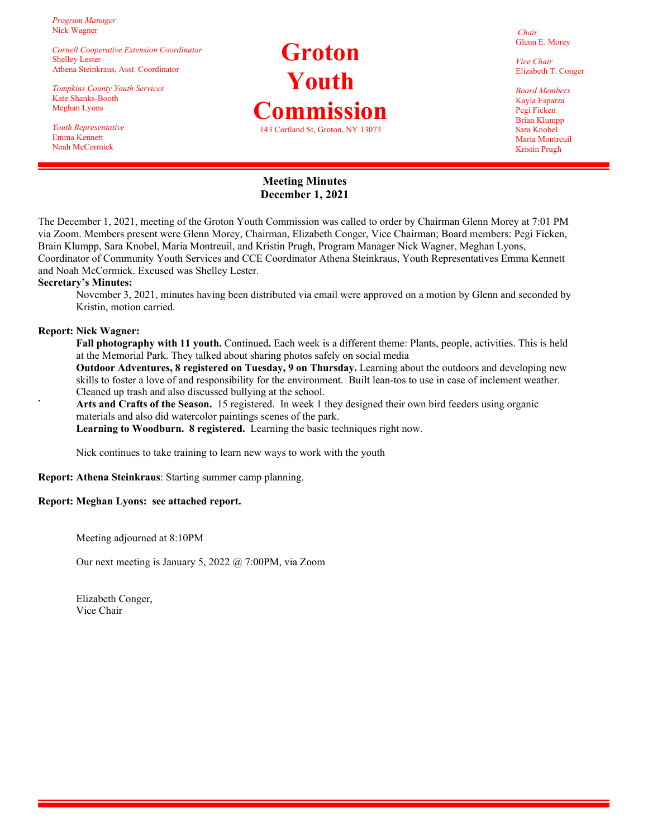*Program Manager*  Nick Wagner

*Cornell Cooperative Extension Coordinator*  Shelley Lester Athena Steinkraus, Asst. Coordinator

*Tompkins County Youth Services*  Kate Shanks-Booth Meghan Lyons

*Youth Representative*  Emma Kennett Noah McCormick

# **Groton Youth Commission**  143 Cortland St, Groton, NY 13073

*Chair*  Glenn E. Morey

*Vice Chair*  Elizabeth T. Conger

*Board Members*  Kayla Esparza Pegi Ficken Brian Klumpp Sara Knobel Maria Montreuil Kristin Prugh

### **Meeting Minutes December 1, 2021**

The December 1, 2021, meeting of the Groton Youth Commission was called to order by Chairman Glenn Morey at 7:01 PM via Zoom. Members present were Glenn Morey, Chairman, Elizabeth Conger, Vice Chairman; Board members: Pegi Ficken, Brain Klumpp, Sara Knobel, Maria Montreuil, and Kristin Prugh, Program Manager Nick Wagner, Meghan Lyons, Coordinator of Community Youth Services and CCE Coordinator Athena Steinkraus, Youth Representatives Emma Kennett and Noah McCormick. Excused was Shelley Lester.

#### **Secretary's Minutes:**

November 3, 2021, minutes having been distributed via email were approved on a motion by Glenn and seconded by Kristin, motion carried.

#### **Report: Nick Wagner:**

- **Fall photography with 11 youth.** Continued**.** Each week is a different theme: Plants, people, activities. This is held at the Memorial Park. They talked about sharing photos safely on social media
- **Outdoor Adventures, 8 registered on Tuesday, 9 on Thursday.** Learning about the outdoors and developing new skills to foster a love of and responsibility for the environment. Built lean-tos to use in case of inclement weather. Cleaned up trash and also discussed bullying at the school.
- **` Arts and Crafts of the Season.** 15 registered. In week 1 they designed their own bird feeders using organic materials and also did watercolor paintings scenes of the park.

 **Learning to Woodburn. 8 registered.** Learning the basic techniques right now.

Nick continues to take training to learn new ways to work with the youth

**Report: Athena Steinkraus**: Starting summer camp planning.

#### **Report: Meghan Lyons: see attached report.**

Meeting adjourned at 8:10PM

Our next meeting is January 5, 2022 @ 7:00PM, via Zoom

 Elizabeth Conger, Vice Chair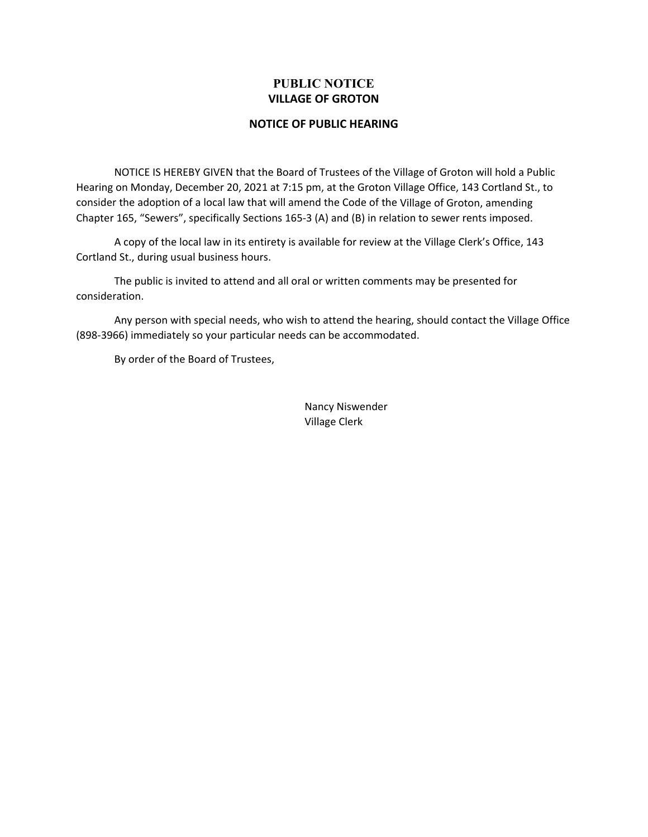# **PUBLIC NOTICE VILLAGE OF GROTON**

#### **NOTICE OF PUBLIC HEARING**

NOTICE IS HEREBY GIVEN that the Board of Trustees of the Village of Groton will hold a Public Hearing on Monday, December 20, 2021 at 7:15 pm, at the Groton Village Office, 143 Cortland St., to consider the adoption of a local law that will amend the Code of the Village of Groton, amending Chapter 165, "Sewers", specifically Sections 165‐3 (A) and (B) in relation to sewer rents imposed.

A copy of the local law in its entirety is available for review at the Village Clerk's Office, 143 Cortland St., during usual business hours.

The public is invited to attend and all oral or written comments may be presented for consideration.

Any person with special needs, who wish to attend the hearing, should contact the Village Office (898‐3966) immediately so your particular needs can be accommodated.

By order of the Board of Trustees,

Nancy Niswender Village Clerk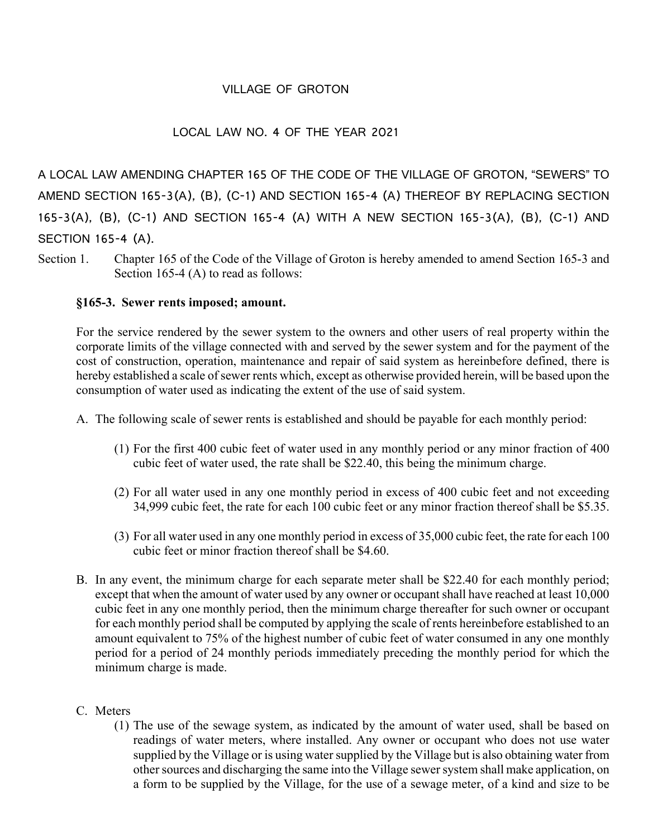# VILLAGE OF GROTON

# LOCAL LAW NO. 4 OF THE YEAR 2021

A LOCAL LAW AMENDING CHAPTER 165 OF THE CODE OF THE VILLAGE OF GROTON, "SEWERS" TO AMEND SECTION 165-3(A), (B), (C-1) AND SECTION 165-4 (A) THEREOF BY REPLACING SECTION 165-3(A), (B), (C-1) AND SECTION 165-4 (A) WITH A NEW SECTION 165-3(A), (B), (C-1) AND SECTION 165-4 (A).

Section 1. Chapter 165 of the Code of the Village of Groton is hereby amended to amend Section 165-3 and Section 165-4 (A) to read as follows:

# **§165-3. Sewer rents imposed; amount.**

For the service rendered by the sewer system to the owners and other users of real property within the corporate limits of the village connected with and served by the sewer system and for the payment of the cost of construction, operation, maintenance and repair of said system as hereinbefore defined, there is hereby established a scale of sewer rents which, except as otherwise provided herein, will be based upon the consumption of water used as indicating the extent of the use of said system.

- A. The following scale of sewer rents is established and should be payable for each monthly period:
	- (1) For the first 400 cubic feet of water used in any monthly period or any minor fraction of 400 cubic feet of water used, the rate shall be \$22.40, this being the minimum charge.
	- (2) For all water used in any one monthly period in excess of 400 cubic feet and not exceeding 34,999 cubic feet, the rate for each 100 cubic feet or any minor fraction thereof shall be \$5.35.
	- (3) For all water used in any one monthly period in excess of 35,000 cubic feet, the rate for each 100 cubic feet or minor fraction thereof shall be \$4.60.
- B. In any event, the minimum charge for each separate meter shall be \$22.40 for each monthly period; except that when the amount of water used by any owner or occupant shall have reached at least 10,000 cubic feet in any one monthly period, then the minimum charge thereafter for such owner or occupant for each monthly period shall be computed by applying the scale of rents hereinbefore established to an amount equivalent to 75% of the highest number of cubic feet of water consumed in any one monthly period for a period of 24 monthly periods immediately preceding the monthly period for which the minimum charge is made.

# C. Meters

(1) The use of the sewage system, as indicated by the amount of water used, shall be based on readings of water meters, where installed. Any owner or occupant who does not use water supplied by the Village or is using water supplied by the Village but is also obtaining water from other sources and discharging the same into the Village sewer system shall make application, on a form to be supplied by the Village, for the use of a sewage meter, of a kind and size to be